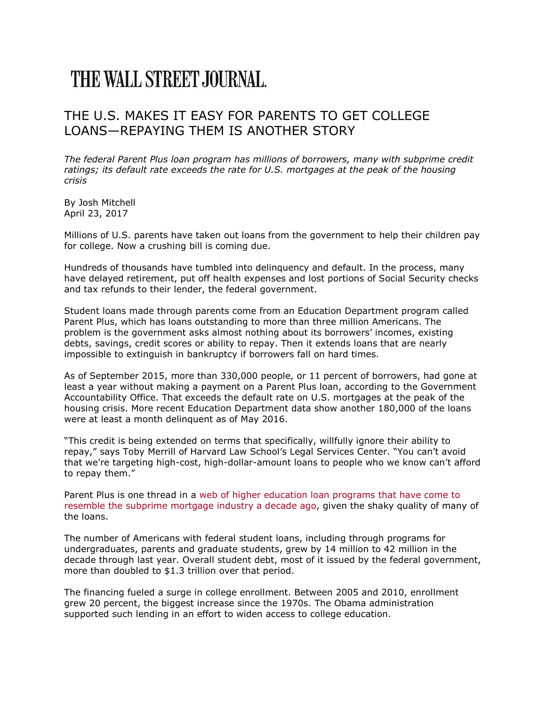## THE WALL STREET JOURNAL

## THE U.S. MAKES IT EASY FOR PARENTS TO GET COLLEGE LOANS—REPAYING THEM IS ANOTHER STORY

*The federal Parent Plus loan program has millions of borrowers, many with subprime credit ratings; its default rate exceeds the rate for U.S. mortgages at the peak of the housing crisis*

By Josh Mitchell April 23, 2017

Millions of U.S. parents have taken out loans from the government to help their children pay for college. Now a crushing bill is coming due.

Hundreds of thousands have tumbled into delinquency and default. In the process, many have delayed retirement, put off health expenses and lost portions of Social Security checks and tax refunds to their lender, the federal government.

Student loans made through parents come from an Education Department program called Parent Plus, which has loans outstanding to more than three million Americans. The problem is the government asks almost nothing about its borrowers' incomes, existing debts, savings, credit scores or ability to repay. Then it extends loans that are nearly impossible to extinguish in bankruptcy if borrowers fall on hard times.

As of September 2015, more than 330,000 people, or 11 percent of borrowers, had gone at least a year without making a payment on a Parent Plus loan, according to the Government Accountability Office. That exceeds the default rate on U.S. mortgages at the peak of the housing crisis. More recent Education Department data show another 180,000 of the loans were at least a month delinquent as of May 2016.

"This credit is being extended on terms that specifically, willfully ignore their ability to repay," says Toby Merrill of Harvard Law School's Legal Services Center. "You can't avoid that we're targeting high-cost, high-dollar-amount loans to people who we know can't afford to repay them."

Parent Plus is one thread in a [web of higher education loan programs that have come to](https://www.wsj.com/articles/college-loan-glut-worries-policy-makers-1465153138)  [resemble the subprime mortgage industry a decade ago,](https://www.wsj.com/articles/college-loan-glut-worries-policy-makers-1465153138) given the shaky quality of many of the loans.

The number of Americans with federal student loans, including through programs for undergraduates, parents and graduate students, grew by 14 million to 42 million in the decade through last year. Overall student debt, most of it issued by the federal government, more than doubled to \$1.3 trillion over that period.

The financing fueled a surge in college enrollment. Between 2005 and 2010, enrollment grew 20 percent, the biggest increase since the 1970s. The Obama administration supported such lending in an effort to widen access to college education.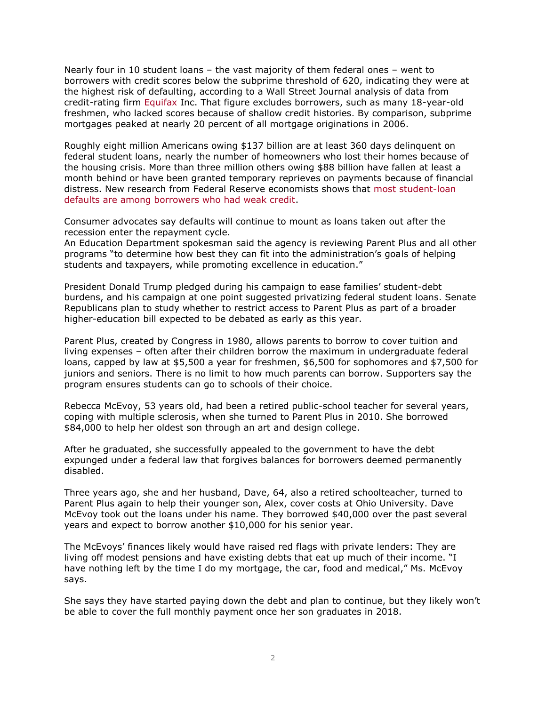Nearly four in 10 student loans – the vast majority of them federal ones – went to borrowers with credit scores below the subprime threshold of 620, indicating they were at the highest risk of defaulting, according to a Wall Street Journal analysis of data from credit-rating firm [Equifax](http://quotes.wsj.com/EFX) Inc. That figure excludes borrowers, such as many 18-year-old freshmen, who lacked scores because of shallow credit histories. By comparison, subprime mortgages peaked at nearly 20 percent of all mortgage originations in 2006.

Roughly eight million Americans owing \$137 billion are at least 360 days delinquent on federal student loans, nearly the number of homeowners who lost their homes because of the housing crisis. More than three million others owing \$88 billion have fallen at least a month behind or have been granted temporary reprieves on payments because of financial distress. New research from Federal Reserve economists shows that [most student-loan](http://publications.nasfaa.org/cgi/viewcontent.cgi?article=1596&context=jsfa)  [defaults are among borrowers who had weak credit.](http://publications.nasfaa.org/cgi/viewcontent.cgi?article=1596&context=jsfa)

Consumer advocates say defaults will continue to mount as loans taken out after the recession enter the repayment cycle.

An Education Department spokesman said the agency is reviewing Parent Plus and all other programs "to determine how best they can fit into the administration's goals of helping students and taxpayers, while promoting excellence in education."

President Donald Trump pledged during his campaign to ease families' student-debt burdens, and his campaign at one point suggested privatizing federal student loans. Senate Republicans plan to study whether to restrict access to Parent Plus as part of a broader higher-education bill expected to be debated as early as this year.

Parent Plus, created by Congress in 1980, allows parents to borrow to cover tuition and living expenses – often after their children borrow the maximum in undergraduate federal loans, capped by law at \$5,500 a year for freshmen, \$6,500 for sophomores and \$7,500 for juniors and seniors. There is no limit to how much parents can borrow. Supporters say the program ensures students can go to schools of their choice.

Rebecca McEvoy, 53 years old, had been a retired public-school teacher for several years, coping with multiple sclerosis, when she turned to Parent Plus in 2010. She borrowed \$84,000 to help her oldest son through an art and design college.

After he graduated, she successfully appealed to the government to have the debt expunged under a federal law that forgives balances for borrowers deemed permanently disabled.

Three years ago, she and her husband, Dave, 64, also a retired schoolteacher, turned to Parent Plus again to help their younger son, Alex, cover costs at Ohio University. Dave McEvoy took out the loans under his name. They borrowed \$40,000 over the past several years and expect to borrow another \$10,000 for his senior year.

The McEvoys' finances likely would have raised red flags with private lenders: They are living off modest pensions and have existing debts that eat up much of their income. "I have nothing left by the time I do my mortgage, the car, food and medical," Ms. McEvoy says.

She says they have started paying down the debt and plan to continue, but they likely won't be able to cover the full monthly payment once her son graduates in 2018.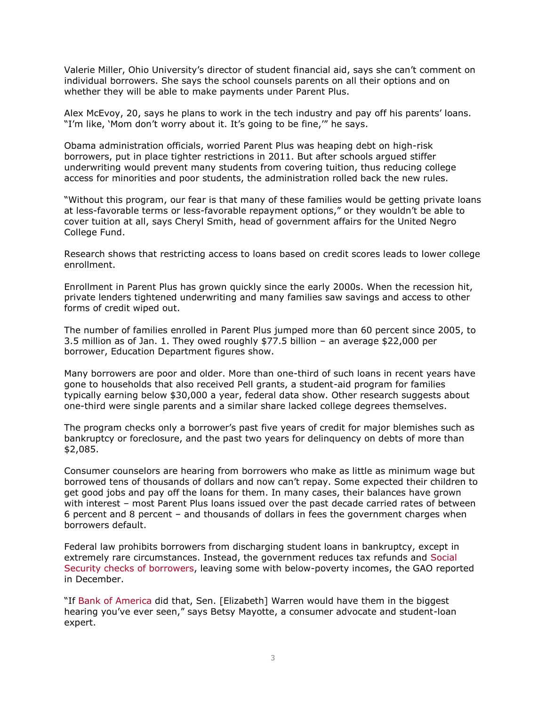Valerie Miller, Ohio University's director of student financial aid, says she can't comment on individual borrowers. She says the school counsels parents on all their options and on whether they will be able to make payments under Parent Plus.

Alex McEvoy, 20, says he plans to work in the tech industry and pay off his parents' loans. "I'm like, 'Mom don't worry about it. It's going to be fine,'" he says.

Obama administration officials, worried Parent Plus was heaping debt on high-risk borrowers, put in place tighter restrictions in 2011. But after schools argued stiffer underwriting would prevent many students from covering tuition, thus reducing college access for minorities and poor students, the administration rolled back the new rules.

"Without this program, our fear is that many of these families would be getting private loans at less-favorable terms or less-favorable repayment options," or they wouldn't be able to cover tuition at all, says Cheryl Smith, head of government affairs for the United Negro College Fund.

Research shows that restricting access to loans based on credit scores leads to lower college enrollment.

Enrollment in Parent Plus has grown quickly since the early 2000s. When the recession hit, private lenders tightened underwriting and many families saw savings and access to other forms of credit wiped out.

The number of families enrolled in Parent Plus jumped more than 60 percent since 2005, to 3.5 million as of Jan. 1. They owed roughly \$77.5 billion – an average \$22,000 per borrower, Education Department figures show.

Many borrowers are poor and older. More than one-third of such loans in recent years have gone to households that also received Pell grants, a student-aid program for families typically earning below \$30,000 a year, federal data show. Other research suggests about one-third were single parents and a similar share lacked college degrees themselves.

The program checks only a borrower's past five years of credit for major blemishes such as bankruptcy or foreclosure, and the past two years for delinquency on debts of more than \$2,085.

Consumer counselors are hearing from borrowers who make as little as minimum wage but borrowed tens of thousands of dollars and now can't repay. Some expected their children to get good jobs and pay off the loans for them. In many cases, their balances have grown with interest – most Parent Plus loans issued over the past decade carried rates of between 6 percent and 8 percent – and thousands of dollars in fees the government charges when borrowers default.

Federal law prohibits borrowers from discharging student loans in bankruptcy, except in extremely rare circumstances. Instead, the government reduces tax refunds and [Social](https://www.wsj.com/articles/social-security-checks-are-being-reduced-for-unpaid-student-debt-1482253337)  [Security checks of borrowers,](https://www.wsj.com/articles/social-security-checks-are-being-reduced-for-unpaid-student-debt-1482253337) leaving some with below-poverty incomes, the GAO reported in December.

"If [Bank of America](http://quotes.wsj.com/BAC) did that, Sen. [Elizabeth] Warren would have them in the biggest hearing you've ever seen," says Betsy Mayotte, a consumer advocate and student-loan expert.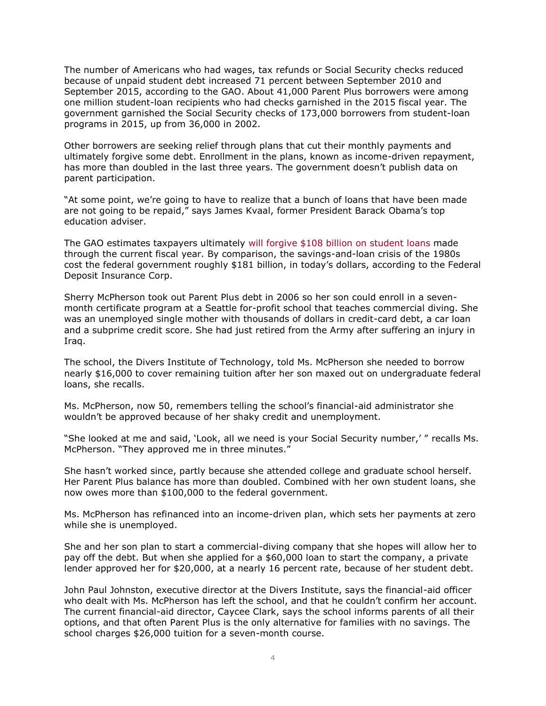The number of Americans who had wages, tax refunds or Social Security checks reduced because of unpaid student debt increased 71 percent between September 2010 and September 2015, according to the GAO. About 41,000 Parent Plus borrowers were among one million student-loan recipients who had checks garnished in the 2015 fiscal year. The government garnished the Social Security checks of 173,000 borrowers from student-loan programs in 2015, up from 36,000 in 2002.

Other borrowers are seeking relief through plans that cut their monthly payments and ultimately forgive some debt. Enrollment in the plans, known as income-driven repayment, has more than doubled in the last three years. The government doesn't publish data on parent participation.

"At some point, we're going to have to realize that a bunch of loans that have been made are not going to be repaid," says James Kvaal, former President Barack Obama's top education adviser.

The GAO estimates taxpayers ultimately [will forgive \\$108 billion on student loans](https://www.wsj.com/articles/u-s-to-forgive-at-least-108-billion-in-student-debt-in-coming-years-1480501802) made through the current fiscal year. By comparison, the savings-and-loan crisis of the 1980s cost the federal government roughly \$181 billion, in today's dollars, according to the Federal Deposit Insurance Corp.

Sherry McPherson took out Parent Plus debt in 2006 so her son could enroll in a sevenmonth certificate program at a Seattle for-profit school that teaches commercial diving. She was an unemployed single mother with thousands of dollars in credit-card debt, a car loan and a subprime credit score. She had just retired from the Army after suffering an injury in Iraq.

The school, the Divers Institute of Technology, told Ms. McPherson she needed to borrow nearly \$16,000 to cover remaining tuition after her son maxed out on undergraduate federal loans, she recalls.

Ms. McPherson, now 50, remembers telling the school's financial-aid administrator she wouldn't be approved because of her shaky credit and unemployment.

"She looked at me and said, 'Look, all we need is your Social Security number,' " recalls Ms. McPherson. "They approved me in three minutes."

She hasn't worked since, partly because she attended college and graduate school herself. Her Parent Plus balance has more than doubled. Combined with her own student loans, she now owes more than \$100,000 to the federal government.

Ms. McPherson has refinanced into an income-driven plan, which sets her payments at zero while she is unemployed.

She and her son plan to start a commercial-diving company that she hopes will allow her to pay off the debt. But when she applied for a \$60,000 loan to start the company, a private lender approved her for \$20,000, at a nearly 16 percent rate, because of her student debt.

John Paul Johnston, executive director at the Divers Institute, says the financial-aid officer who dealt with Ms. McPherson has left the school, and that he couldn't confirm her account. The current financial-aid director, Caycee Clark, says the school informs parents of all their options, and that often Parent Plus is the only alternative for families with no savings. The school charges \$26,000 tuition for a seven-month course.